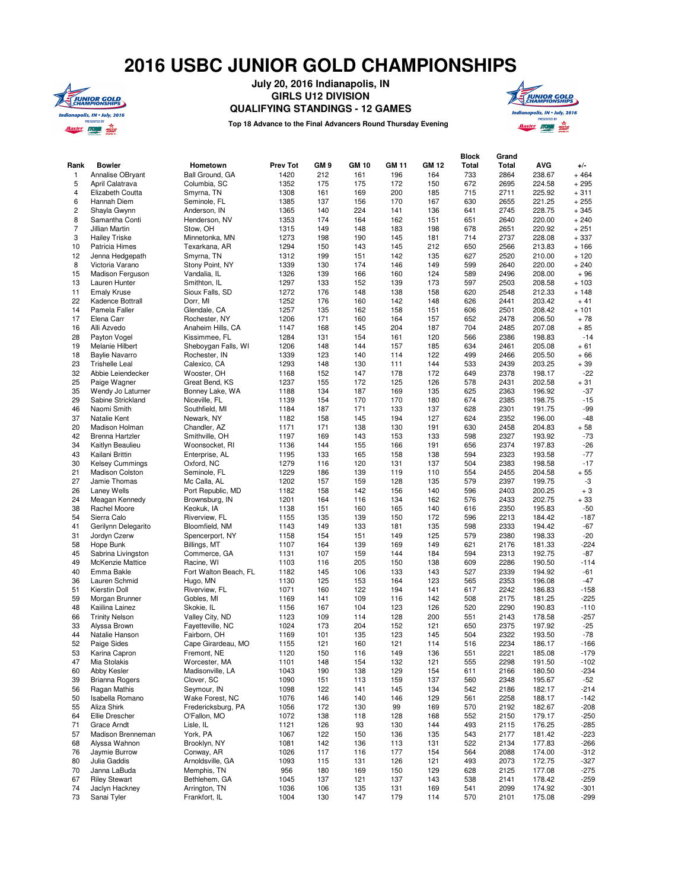## **2016 USBC JUNIOR GOLD CHAMPIONSHIPS**



**July 20, 2016 Indianapolis, IN GIRLS U12 DIVISION**

**QUALIFYING STANDINGS - 12 GAMES**





| Rank<br>1               | <b>Bowler</b><br>Annalise OBryant   | Hometown<br>Ball Ground, GA         | <b>Prev Tot</b><br>1420 | GM <sub>9</sub><br>212 | <b>GM 10</b><br>161 | <b>GM 11</b><br>196 | <b>GM 12</b><br>164 | <b>Block</b><br><b>Total</b><br>733 | Grand<br>Total<br>2864 | <b>AVG</b><br>238.67 | $+/-$<br>$+464$  |
|-------------------------|-------------------------------------|-------------------------------------|-------------------------|------------------------|---------------------|---------------------|---------------------|-------------------------------------|------------------------|----------------------|------------------|
| 5                       | April Calatrava                     | Columbia, SC                        | 1352                    | 175                    | 175                 | 172                 | 150                 | 672                                 | 2695                   | 224.58               | $+295$           |
| 4                       | Elizabeth Coutta                    | Smyrna, TN                          | 1308                    | 161                    | 169                 | 200                 | 185                 | 715                                 | 2711                   | 225.92               | $+311$           |
| 6                       | Hannah Diem                         | Seminole, FL                        | 1385                    | 137                    | 156                 | 170                 | 167                 | 630                                 | 2655                   | 221.25               | $+255$           |
| $\overline{\mathbf{c}}$ | Shayla Gwynn                        | Anderson, IN                        | 1365                    | 140                    | 224                 | 141                 | 136                 | 641                                 | 2745                   | 228.75               | $+345$           |
| 8                       | Samantha Conti                      | Henderson, NV                       | 1353                    | 174                    | 164                 | 162                 | 151                 | 651                                 | 2640                   | 220.00               | $+240$           |
| $\overline{7}$          | Jillian Martin                      | Stow, OH                            | 1315                    | 149                    | 148                 | 183                 | 198                 | 678                                 | 2651                   | 220.92               | $+251$           |
| 3                       | <b>Hailey Triske</b>                | Minnetonka, MN                      | 1273                    | 198                    | 190                 | 145                 | 181                 | 714                                 | 2737                   | 228.08               | $+337$           |
| 10                      | <b>Patricia Himes</b>               | Texarkana, AR                       | 1294                    | 150                    | 143                 | 145                 | 212                 | 650                                 | 2566                   | 213.83               | $+166$           |
| 12                      | Jenna Hedgepath                     | Smyrna, TN                          | 1312                    | 199                    | 151                 | 142                 | 135                 | 627                                 | 2520                   | 210.00               | $+120$           |
| 8<br>15                 | Victoria Varano<br>Madison Ferguson | Stony Point, NY<br>Vandalia, IL     | 1339<br>1326            | 130<br>139             | 174<br>166          | 146<br>160          | 149<br>124          | 599<br>589                          | 2640<br>2496           | 220.00<br>208.00     | $+240$<br>$+96$  |
| 13                      | Lauren Hunter                       | Smithton, IL                        | 1297                    | 133                    | 152                 | 139                 | 173                 | 597                                 | 2503                   | 208.58               | $+103$           |
| 11                      | <b>Emalv Kruse</b>                  | Sioux Falls, SD                     | 1272                    | 176                    | 148                 | 138                 | 158                 | 620                                 | 2548                   | 212.33               | $+148$           |
| 22                      | Kadence Bottrall                    | Dorr, MI                            | 1252                    | 176                    | 160                 | 142                 | 148                 | 626                                 | 2441                   | 203.42               | $+41$            |
| 14                      | Pamela Faller                       | Glendale, CA                        | 1257                    | 135                    | 162                 | 158                 | 151                 | 606                                 | 2501                   | 208.42               | $+101$           |
| 17                      | Elena Carr                          | Rochester, NY                       | 1206                    | 171                    | 160                 | 164                 | 157                 | 652                                 | 2478                   | 206.50               | $+78$            |
| 16                      | Alli Azvedo                         | Anaheim Hills, CA                   | 1147                    | 168                    | 145                 | 204                 | 187                 | 704                                 | 2485                   | 207.08               | $+85$            |
| 28                      | Payton Vogel                        | Kissimmee, FL                       | 1284                    | 131                    | 154                 | 161                 | 120                 | 566                                 | 2386                   | 198.83               | $-14$            |
| 19                      | Melanie Hilbert                     | Sheboygan Falls, WI                 | 1206                    | 148                    | 144                 | 157                 | 185                 | 634                                 | 2461                   | 205.08               | $+61$            |
| 18                      | <b>Baylie Navarro</b>               | Rochester, IN                       | 1339                    | 123                    | 140                 | 114                 | 122                 | 499                                 | 2466                   | 205.50               | $+66$            |
| 23                      | <b>Trishelle Leal</b>               | Calexico, CA                        | 1293                    | 148                    | 130                 | 111                 | 144                 | 533                                 | 2439                   | 203.25               | $+39$            |
| 32<br>25                | Abbie Leiendecker<br>Paige Wagner   | Wooster, OH<br>Great Bend, KS       | 1168<br>1237            | 152<br>155             | 147<br>172          | 178<br>125          | 172<br>126          | 649<br>578                          | 2378<br>2431           | 198.17<br>202.58     | $-22$<br>$+31$   |
| 35                      | Wendy Jo Laturner                   | Bonney Lake, WA                     | 1188                    | 134                    | 187                 | 169                 | 135                 | 625                                 | 2363                   | 196.92               | $-37$            |
| 29                      | Sabine Strickland                   | Niceville, FL                       | 1139                    | 154                    | 170                 | 170                 | 180                 | 674                                 | 2385                   | 198.75               | $-15$            |
| 46                      | Naomi Smith                         | Southfield, MI                      | 1184                    | 187                    | 171                 | 133                 | 137                 | 628                                 | 2301                   | 191.75               | $-99$            |
| 37                      | Natalie Kent                        | Newark, NY                          | 1182                    | 158                    | 145                 | 194                 | 127                 | 624                                 | 2352                   | 196.00               | $-48$            |
| 20                      | Madison Holman                      | Chandler, AZ                        | 1171                    | 171                    | 138                 | 130                 | 191                 | 630                                 | 2458                   | 204.83               | $+58$            |
| 42                      | <b>Brenna Hartzler</b>              | Smithville, OH                      | 1197                    | 169                    | 143                 | 153                 | 133                 | 598                                 | 2327                   | 193.92               | $-73$            |
| 34                      | Kaitlyn Beaulieu                    | Woonsocket, RI                      | 1136                    | 144                    | 155                 | 166                 | 191                 | 656                                 | 2374                   | 197.83               | $-26$            |
| 43                      | Kailani Brittin                     | Enterprise, AL                      | 1195                    | 133                    | 165                 | 158                 | 138                 | 594                                 | 2323                   | 193.58               | $-77$            |
| 30                      | <b>Kelsey Cummings</b>              | Oxford, NC                          | 1279                    | 116                    | 120                 | 131                 | 137                 | 504                                 | 2383                   | 198.58               | $-17$            |
| 21                      | <b>Madison Colston</b>              | Seminole, FL                        | 1229                    | 186                    | 139                 | 119                 | 110                 | 554                                 | 2455                   | 204.58               | $+55$            |
| 27                      | Jamie Thomas                        | Mc Calla, AL                        | 1202                    | 157                    | 159                 | 128                 | 135                 | 579                                 | 2397                   | 199.75               | -3               |
| 26<br>24                | Laney Wells<br>Meagan Kennedy       | Port Republic, MD<br>Brownsburg, IN | 1182<br>1201            | 158<br>164             | 142<br>116          | 156<br>134          | 140<br>162          | 596<br>576                          | 2403<br>2433           | 200.25<br>202.75     | $+3$<br>$+33$    |
| 38                      | Rachel Moore                        | Keokuk, IA                          | 1138                    | 151                    | 160                 | 165                 | 140                 | 616                                 | 2350                   | 195.83               | $-50$            |
| 54                      | Sierra Calo                         | Riverview, FL                       | 1155                    | 135                    | 139                 | 150                 | 172                 | 596                                 | 2213                   | 184.42               | $-187$           |
| 41                      | Gerilynn Delegarito                 | Bloomfield, NM                      | 1143                    | 149                    | 133                 | 181                 | 135                 | 598                                 | 2333                   | 194.42               | $-67$            |
| 31                      | Jordyn Czerw                        | Spencerport, NY                     | 1158                    | 154                    | 151                 | 149                 | 125                 | 579                                 | 2380                   | 198.33               | $-20$            |
| 58                      | Hope Bunk                           | Billings, MT                        | 1107                    | 164                    | 139                 | 169                 | 149                 | 621                                 | 2176                   | 181.33               | $-224$           |
| 45                      | Sabrina Livingston                  | Commerce, GA                        | 1131                    | 107                    | 159                 | 144                 | 184                 | 594                                 | 2313                   | 192.75               | $-87$            |
| 49                      | McKenzie Mattice                    | Racine, WI                          | 1103                    | 116                    | 205                 | 150                 | 138                 | 609                                 | 2286                   | 190.50               | $-114$           |
| 40                      | Emma Bakle                          | Fort Walton Beach, FL               | 1182                    | 145                    | 106                 | 133                 | 143                 | 527                                 | 2339                   | 194.92               | $-61$            |
| 36                      | Lauren Schmid                       | Hugo, MN                            | 1130                    | 125                    | 153                 | 164                 | 123                 | 565                                 | 2353                   | 196.08               | $-47$            |
| 51                      | Kierstin Doll                       | Riverview, FL                       | 1071                    | 160                    | 122                 | 194                 | 141                 | 617                                 | 2242                   | 186.83               | $-158$           |
| 59<br>48                | Morgan Brunner<br>Kaiilina Lainez   | Gobles, MI<br>Skokie, IL            | 1169<br>1156            | 141<br>167             | 109<br>104          | 116<br>123          | 142<br>126          | 508<br>520                          | 2175<br>2290           | 181.25<br>190.83     | $-225$<br>$-110$ |
| 66                      | <b>Trinity Nelson</b>               | Valley City, ND                     | 1123                    | 109                    | 114                 | 128                 | 200                 | 551                                 | 2143                   | 178.58               | $-257$           |
| 33                      | Alyssa Brown                        | Fayetteville, NC                    | 1024                    | 173                    | 204                 | 152                 | 121                 | 650                                 | 2375                   | 197.92               | -25              |
| 44                      | Natalie Hanson                      | Fairborn, OH                        | 1169                    | 101                    | 135                 | 123                 | 145                 | 504                                 | 2322                   | 193.50               | $-78$            |
| 52                      | Paige Sides                         | Cape Girardeau, MO                  | 1155                    | 121                    | 160                 | 121                 | 114                 | 516                                 | 2234                   | 186.17               | $-166$           |
| 53                      | Karina Capron                       | Fremont, NE                         | 1120                    | 150                    | 116                 | 149                 | 136                 | 551                                 | 2221                   | 185.08               | $-179$           |
| 47                      | Mia Stolakis                        | Worcester, MA                       | 1101                    | 148                    | 154                 | 132                 | 121                 | 555                                 | 2298                   | 191.50               | $-102$           |
| 60                      | Abby Kesler                         | Madisonville, LA                    | 1043                    | 190                    | 138                 | 129                 | 154                 | 611                                 | 2166                   | 180.50               | $-234$           |
| 39                      | <b>Brianna Rogers</b>               | Clover, SC                          | 1090                    | 151                    | 113                 | 159                 | 137                 | 560                                 | 2348                   | 195.67               | $-52$            |
| 56                      | Ragan Mathis                        | Seymour, IN                         | 1098                    | 122                    | 141                 | 145                 | 134                 | 542                                 | 2186                   | 182.17               | $-214$           |
| 50                      | Isabella Romano                     | Wake Forest, NC                     | 1076                    | 146                    | 140                 | 146                 | 129                 | 561                                 | 2258                   | 188.17               | $-142$           |
| 55                      | Aliza Shirk                         | Fredericksburg, PA                  | 1056                    | 172                    | 130                 | 99                  | 169                 | 570                                 | 2192                   | 182.67               | $-208$           |
| 64                      | Ellie Drescher                      | O'Fallon, MO                        | 1072                    | 138                    | 118                 | 128                 | 168                 | 552                                 | 2150                   | 179.17               | $-250$           |
| 71<br>57                | Grace Arndt<br>Madison Brenneman    | Lisle, IL<br>York, PA               | 1121<br>1067            | 126<br>122             | 93<br>150           | 130<br>136          | 144<br>135          | 493<br>543                          | 2115<br>2177           | 176.25<br>181.42     | $-285$<br>$-223$ |
| 68                      | Alyssa Wahnon                       | Brooklyn, NY                        | 1081                    | 142                    | 136                 | 113                 | 131                 | 522                                 | 2134                   | 177.83               | $-266$           |
| 76                      | Jaymie Burrow                       | Conway, AR                          | 1026                    | 117                    | 116                 | 177                 | 154                 | 564                                 | 2088                   | 174.00               | $-312$           |
| 80                      | Julia Gaddis                        | Arnoldsville, GA                    | 1093                    | 115                    | 131                 | 126                 | 121                 | 493                                 | 2073                   | 172.75               | $-327$           |
| 70                      | Janna LaBuda                        | Memphis, TN                         | 956                     | 180                    | 169                 | 150                 | 129                 | 628                                 | 2125                   | 177.08               | $-275$           |
| 67                      | <b>Riley Stewart</b>                | Bethlehem, GA                       | 1045                    | 137                    | 121                 | 137                 | 143                 | 538                                 | 2141                   | 178.42               | $-259$           |
| 74                      | Jaclyn Hackney                      | Arrington, TN                       | 1036                    | 106                    | 135                 | 131                 | 169                 | 541                                 | 2099                   | 174.92               | $-301$           |
| 73                      | Sanai Tyler                         | Frankfort, IL                       | 1004                    | 130                    | 147                 | 179                 | 114                 | 570                                 | 2101                   | 175.08               | $-299$           |